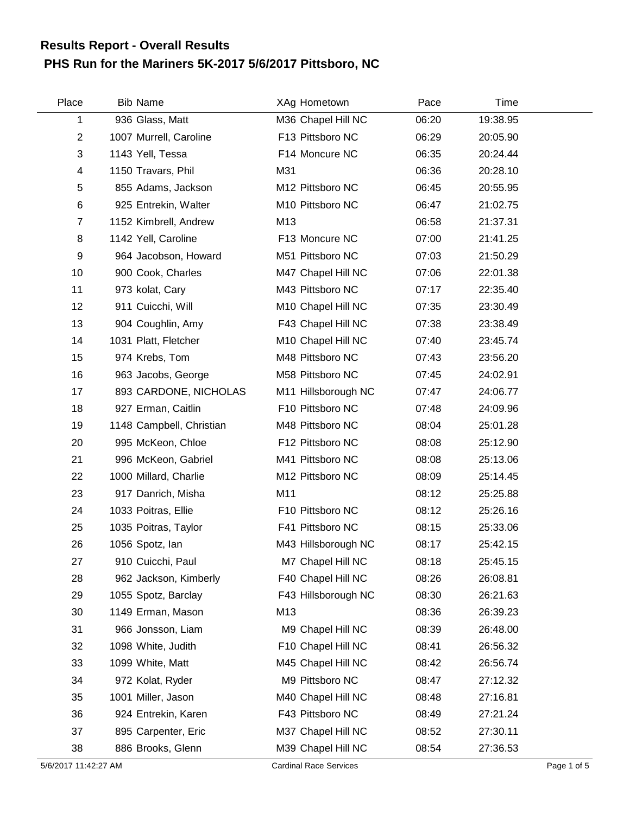## **PHS Run for the Mariners 5K-2017 5/6/2017 Pittsboro, NC Results Report - Overall Results**

| Place          | <b>Bib Name</b>          | XAg Hometown        | Pace  | Time     |  |
|----------------|--------------------------|---------------------|-------|----------|--|
| 1              | 936 Glass, Matt          | M36 Chapel Hill NC  | 06:20 | 19:38.95 |  |
| $\overline{2}$ | 1007 Murrell, Caroline   | F13 Pittsboro NC    | 06:29 | 20:05.90 |  |
| 3              | 1143 Yell, Tessa         | F14 Moncure NC      | 06:35 | 20:24.44 |  |
| 4              | 1150 Travars, Phil       | M31                 | 06:36 | 20:28.10 |  |
| 5              | 855 Adams, Jackson       | M12 Pittsboro NC    | 06:45 | 20:55.95 |  |
| 6              | 925 Entrekin, Walter     | M10 Pittsboro NC    | 06:47 | 21:02.75 |  |
| 7              | 1152 Kimbrell, Andrew    | M13                 | 06:58 | 21:37.31 |  |
| 8              | 1142 Yell, Caroline      | F13 Moncure NC      | 07:00 | 21:41.25 |  |
| $9\,$          | 964 Jacobson, Howard     | M51 Pittsboro NC    | 07:03 | 21:50.29 |  |
| 10             | 900 Cook, Charles        | M47 Chapel Hill NC  | 07:06 | 22:01.38 |  |
| 11             | 973 kolat, Cary          | M43 Pittsboro NC    | 07:17 | 22:35.40 |  |
| 12             | 911 Cuicchi, Will        | M10 Chapel Hill NC  | 07:35 | 23:30.49 |  |
| 13             | 904 Coughlin, Amy        | F43 Chapel Hill NC  | 07:38 | 23:38.49 |  |
| 14             | 1031 Platt, Fletcher     | M10 Chapel Hill NC  | 07:40 | 23:45.74 |  |
| 15             | 974 Krebs, Tom           | M48 Pittsboro NC    | 07:43 | 23:56.20 |  |
| 16             | 963 Jacobs, George       | M58 Pittsboro NC    | 07:45 | 24:02.91 |  |
| 17             | 893 CARDONE, NICHOLAS    | M11 Hillsborough NC | 07:47 | 24:06.77 |  |
| 18             | 927 Erman, Caitlin       | F10 Pittsboro NC    | 07:48 | 24:09.96 |  |
| 19             | 1148 Campbell, Christian | M48 Pittsboro NC    | 08:04 | 25:01.28 |  |
| 20             | 995 McKeon, Chloe        | F12 Pittsboro NC    | 08:08 | 25:12.90 |  |
| 21             | 996 McKeon, Gabriel      | M41 Pittsboro NC    | 08:08 | 25:13.06 |  |
| 22             | 1000 Millard, Charlie    | M12 Pittsboro NC    | 08:09 | 25:14.45 |  |
| 23             | 917 Danrich, Misha       | M11                 | 08:12 | 25:25.88 |  |
| 24             | 1033 Poitras, Ellie      | F10 Pittsboro NC    | 08:12 | 25:26.16 |  |
| 25             | 1035 Poitras, Taylor     | F41 Pittsboro NC    | 08:15 | 25:33.06 |  |
| 26             | 1056 Spotz, lan          | M43 Hillsborough NC | 08:17 | 25:42.15 |  |
| 27             | 910 Cuicchi, Paul        | M7 Chapel Hill NC   | 08:18 | 25:45.15 |  |
| 28             | 962 Jackson, Kimberly    | F40 Chapel Hill NC  | 08:26 | 26:08.81 |  |
| 29             | 1055 Spotz, Barclay      | F43 Hillsborough NC | 08:30 | 26:21.63 |  |
| 30             | 1149 Erman, Mason        | M13                 | 08:36 | 26:39.23 |  |
| 31             | 966 Jonsson, Liam        | M9 Chapel Hill NC   | 08:39 | 26:48.00 |  |
| 32             | 1098 White, Judith       | F10 Chapel Hill NC  | 08:41 | 26:56.32 |  |
| 33             | 1099 White, Matt         | M45 Chapel Hill NC  | 08:42 | 26:56.74 |  |
| 34             | 972 Kolat, Ryder         | M9 Pittsboro NC     | 08:47 | 27:12.32 |  |
| 35             | 1001 Miller, Jason       | M40 Chapel Hill NC  | 08:48 | 27:16.81 |  |
| 36             | 924 Entrekin, Karen      | F43 Pittsboro NC    | 08:49 | 27:21.24 |  |
| 37             | 895 Carpenter, Eric      | M37 Chapel Hill NC  | 08:52 | 27:30.11 |  |
| 38             | 886 Brooks, Glenn        | M39 Chapel Hill NC  | 08:54 | 27:36.53 |  |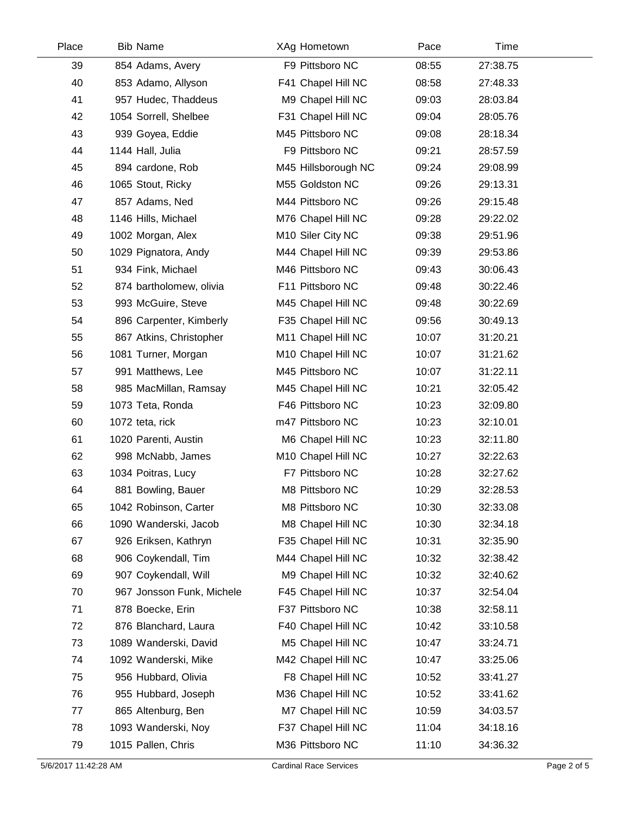| Place | <b>Bib Name</b>           | XAg Hometown        | Pace  | Time     |  |
|-------|---------------------------|---------------------|-------|----------|--|
| 39    | 854 Adams, Avery          | F9 Pittsboro NC     | 08:55 | 27:38.75 |  |
| 40    | 853 Adamo, Allyson        | F41 Chapel Hill NC  | 08:58 | 27:48.33 |  |
| 41    | 957 Hudec, Thaddeus       | M9 Chapel Hill NC   | 09:03 | 28:03.84 |  |
| 42    | 1054 Sorrell, Shelbee     | F31 Chapel Hill NC  | 09:04 | 28:05.76 |  |
| 43    | 939 Goyea, Eddie          | M45 Pittsboro NC    | 09:08 | 28:18.34 |  |
| 44    | 1144 Hall, Julia          | F9 Pittsboro NC     | 09:21 | 28:57.59 |  |
| 45    | 894 cardone, Rob          | M45 Hillsborough NC | 09:24 | 29:08.99 |  |
| 46    | 1065 Stout, Ricky         | M55 Goldston NC     | 09:26 | 29:13.31 |  |
| 47    | 857 Adams, Ned            | M44 Pittsboro NC    | 09:26 | 29:15.48 |  |
| 48    | 1146 Hills, Michael       | M76 Chapel Hill NC  | 09:28 | 29:22.02 |  |
| 49    | 1002 Morgan, Alex         | M10 Siler City NC   | 09:38 | 29:51.96 |  |
| 50    | 1029 Pignatora, Andy      | M44 Chapel Hill NC  | 09:39 | 29:53.86 |  |
| 51    | 934 Fink, Michael         | M46 Pittsboro NC    | 09:43 | 30:06.43 |  |
| 52    | 874 bartholomew, olivia   | F11 Pittsboro NC    | 09:48 | 30:22.46 |  |
| 53    | 993 McGuire, Steve        | M45 Chapel Hill NC  | 09:48 | 30:22.69 |  |
| 54    | 896 Carpenter, Kimberly   | F35 Chapel Hill NC  | 09:56 | 30:49.13 |  |
| 55    | 867 Atkins, Christopher   | M11 Chapel Hill NC  | 10:07 | 31:20.21 |  |
| 56    | 1081 Turner, Morgan       | M10 Chapel Hill NC  | 10:07 | 31:21.62 |  |
| 57    | 991 Matthews, Lee         | M45 Pittsboro NC    | 10:07 | 31:22.11 |  |
| 58    | 985 MacMillan, Ramsay     | M45 Chapel Hill NC  | 10:21 | 32:05.42 |  |
| 59    | 1073 Teta, Ronda          | F46 Pittsboro NC    | 10:23 | 32:09.80 |  |
| 60    | 1072 teta, rick           | m47 Pittsboro NC    | 10:23 | 32:10.01 |  |
| 61    | 1020 Parenti, Austin      | M6 Chapel Hill NC   | 10:23 | 32:11.80 |  |
| 62    | 998 McNabb, James         | M10 Chapel Hill NC  | 10:27 | 32:22.63 |  |
| 63    | 1034 Poitras, Lucy        | F7 Pittsboro NC     | 10:28 | 32:27.62 |  |
| 64    | 881 Bowling, Bauer        | M8 Pittsboro NC     | 10:29 | 32:28.53 |  |
| 65    | 1042 Robinson, Carter     | M8 Pittsboro NC     | 10:30 | 32:33.08 |  |
| 66    | 1090 Wanderski, Jacob     | M8 Chapel Hill NC   | 10:30 | 32:34.18 |  |
| 67    | 926 Eriksen, Kathryn      | F35 Chapel Hill NC  | 10:31 | 32:35.90 |  |
| 68    | 906 Coykendall, Tim       | M44 Chapel Hill NC  | 10:32 | 32:38.42 |  |
| 69    | 907 Coykendall, Will      | M9 Chapel Hill NC   | 10:32 | 32:40.62 |  |
| 70    | 967 Jonsson Funk, Michele | F45 Chapel Hill NC  | 10:37 | 32:54.04 |  |
| 71    | 878 Boecke, Erin          | F37 Pittsboro NC    | 10:38 | 32:58.11 |  |
| 72    | 876 Blanchard, Laura      | F40 Chapel Hill NC  | 10:42 | 33:10.58 |  |
| 73    | 1089 Wanderski, David     | M5 Chapel Hill NC   | 10:47 | 33:24.71 |  |
| 74    | 1092 Wanderski, Mike      | M42 Chapel Hill NC  | 10:47 | 33:25.06 |  |
| 75    | 956 Hubbard, Olivia       | F8 Chapel Hill NC   | 10:52 | 33:41.27 |  |
| 76    | 955 Hubbard, Joseph       | M36 Chapel Hill NC  | 10:52 | 33:41.62 |  |
| 77    | 865 Altenburg, Ben        | M7 Chapel Hill NC   | 10:59 | 34:03.57 |  |
| 78    | 1093 Wanderski, Noy       | F37 Chapel Hill NC  | 11:04 | 34:18.16 |  |
| 79    | 1015 Pallen, Chris        | M36 Pittsboro NC    | 11:10 | 34:36.32 |  |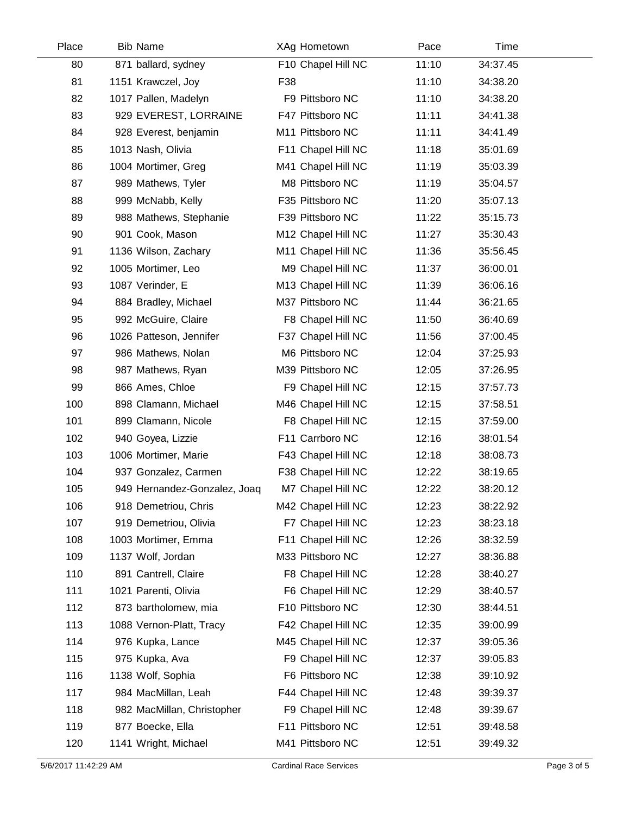| Place | <b>Bib Name</b>              | XAg Hometown       | Pace  | Time     |  |
|-------|------------------------------|--------------------|-------|----------|--|
| 80    | 871 ballard, sydney          | F10 Chapel Hill NC | 11:10 | 34:37.45 |  |
| 81    | 1151 Krawczel, Joy           | F38                | 11:10 | 34:38.20 |  |
| 82    | 1017 Pallen, Madelyn         | F9 Pittsboro NC    | 11:10 | 34:38.20 |  |
| 83    | 929 EVEREST, LORRAINE        | F47 Pittsboro NC   | 11:11 | 34:41.38 |  |
| 84    | 928 Everest, benjamin        | M11 Pittsboro NC   | 11:11 | 34:41.49 |  |
| 85    | 1013 Nash, Olivia            | F11 Chapel Hill NC | 11:18 | 35:01.69 |  |
| 86    | 1004 Mortimer, Greg          | M41 Chapel Hill NC | 11:19 | 35:03.39 |  |
| 87    | 989 Mathews, Tyler           | M8 Pittsboro NC    | 11:19 | 35:04.57 |  |
| 88    | 999 McNabb, Kelly            | F35 Pittsboro NC   | 11:20 | 35:07.13 |  |
| 89    | 988 Mathews, Stephanie       | F39 Pittsboro NC   | 11:22 | 35:15.73 |  |
| 90    | 901 Cook, Mason              | M12 Chapel Hill NC | 11:27 | 35:30.43 |  |
| 91    | 1136 Wilson, Zachary         | M11 Chapel Hill NC | 11:36 | 35:56.45 |  |
| 92    | 1005 Mortimer, Leo           | M9 Chapel Hill NC  | 11:37 | 36:00.01 |  |
| 93    | 1087 Verinder, E             | M13 Chapel Hill NC | 11:39 | 36:06.16 |  |
| 94    | 884 Bradley, Michael         | M37 Pittsboro NC   | 11:44 | 36:21.65 |  |
| 95    | 992 McGuire, Claire          | F8 Chapel Hill NC  | 11:50 | 36:40.69 |  |
| 96    | 1026 Patteson, Jennifer      | F37 Chapel Hill NC | 11:56 | 37:00.45 |  |
| 97    | 986 Mathews, Nolan           | M6 Pittsboro NC    | 12:04 | 37:25.93 |  |
| 98    | 987 Mathews, Ryan            | M39 Pittsboro NC   | 12:05 | 37:26.95 |  |
| 99    | 866 Ames, Chloe              | F9 Chapel Hill NC  | 12:15 | 37:57.73 |  |
| 100   | 898 Clamann, Michael         | M46 Chapel Hill NC | 12:15 | 37:58.51 |  |
| 101   | 899 Clamann, Nicole          | F8 Chapel Hill NC  | 12:15 | 37:59.00 |  |
| 102   | 940 Goyea, Lizzie            | F11 Carrboro NC    | 12:16 | 38:01.54 |  |
| 103   | 1006 Mortimer, Marie         | F43 Chapel Hill NC | 12:18 | 38:08.73 |  |
| 104   | 937 Gonzalez, Carmen         | F38 Chapel Hill NC | 12:22 | 38:19.65 |  |
| 105   | 949 Hernandez-Gonzalez, Joaq | M7 Chapel Hill NC  | 12:22 | 38:20.12 |  |
| 106   | 918 Demetriou, Chris         | M42 Chapel Hill NC | 12:23 | 38:22.92 |  |
| 107   | 919 Demetriou, Olivia        | F7 Chapel Hill NC  | 12:23 | 38:23.18 |  |
| 108   | 1003 Mortimer, Emma          | F11 Chapel Hill NC | 12:26 | 38:32.59 |  |
| 109   | 1137 Wolf, Jordan            | M33 Pittsboro NC   | 12:27 | 38:36.88 |  |
| 110   | 891 Cantrell, Claire         | F8 Chapel Hill NC  | 12:28 | 38:40.27 |  |
| 111   | 1021 Parenti, Olivia         | F6 Chapel Hill NC  | 12:29 | 38:40.57 |  |
| 112   | 873 bartholomew, mia         | F10 Pittsboro NC   | 12:30 | 38:44.51 |  |
| 113   | 1088 Vernon-Platt, Tracy     | F42 Chapel Hill NC | 12:35 | 39:00.99 |  |
| 114   | 976 Kupka, Lance             | M45 Chapel Hill NC | 12:37 | 39:05.36 |  |
| 115   | 975 Kupka, Ava               | F9 Chapel Hill NC  | 12:37 | 39:05.83 |  |
| 116   | 1138 Wolf, Sophia            | F6 Pittsboro NC    | 12:38 | 39:10.92 |  |
| 117   | 984 MacMillan, Leah          | F44 Chapel Hill NC | 12:48 | 39:39.37 |  |
| 118   | 982 MacMillan, Christopher   | F9 Chapel Hill NC  | 12:48 | 39:39.67 |  |
| 119   | 877 Boecke, Ella             | F11 Pittsboro NC   | 12:51 | 39:48.58 |  |
| 120   | 1141 Wright, Michael         | M41 Pittsboro NC   | 12:51 | 39:49.32 |  |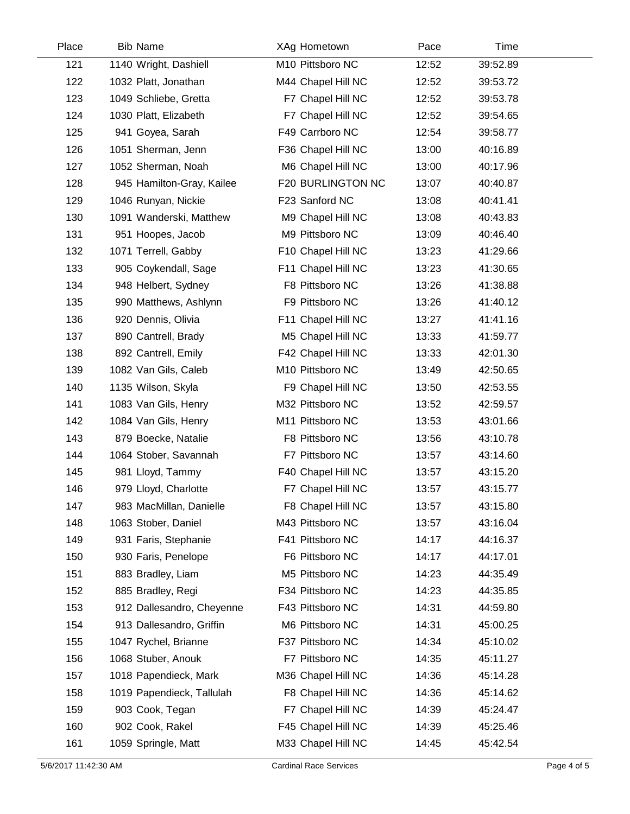| Place | <b>Bib Name</b>           | XAg Hometown       | Pace  | Time     |  |
|-------|---------------------------|--------------------|-------|----------|--|
| 121   | 1140 Wright, Dashiell     | M10 Pittsboro NC   | 12:52 | 39:52.89 |  |
| 122   | 1032 Platt, Jonathan      | M44 Chapel Hill NC | 12:52 | 39:53.72 |  |
| 123   | 1049 Schliebe, Gretta     | F7 Chapel Hill NC  | 12:52 | 39:53.78 |  |
| 124   | 1030 Platt, Elizabeth     | F7 Chapel Hill NC  | 12:52 | 39:54.65 |  |
| 125   | 941 Goyea, Sarah          | F49 Carrboro NC    | 12:54 | 39:58.77 |  |
| 126   | 1051 Sherman, Jenn        | F36 Chapel Hill NC | 13:00 | 40:16.89 |  |
| 127   | 1052 Sherman, Noah        | M6 Chapel Hill NC  | 13:00 | 40:17.96 |  |
| 128   | 945 Hamilton-Gray, Kailee | F20 BURLINGTON NC  | 13:07 | 40:40.87 |  |
| 129   | 1046 Runyan, Nickie       | F23 Sanford NC     | 13:08 | 40:41.41 |  |
| 130   | 1091 Wanderski, Matthew   | M9 Chapel Hill NC  | 13:08 | 40:43.83 |  |
| 131   | 951 Hoopes, Jacob         | M9 Pittsboro NC    | 13:09 | 40:46.40 |  |
| 132   | 1071 Terrell, Gabby       | F10 Chapel Hill NC | 13:23 | 41:29.66 |  |
| 133   | 905 Coykendall, Sage      | F11 Chapel Hill NC | 13:23 | 41:30.65 |  |
| 134   | 948 Helbert, Sydney       | F8 Pittsboro NC    | 13:26 | 41:38.88 |  |
| 135   | 990 Matthews, Ashlynn     | F9 Pittsboro NC    | 13:26 | 41:40.12 |  |
| 136   | 920 Dennis, Olivia        | F11 Chapel Hill NC | 13:27 | 41:41.16 |  |
| 137   | 890 Cantrell, Brady       | M5 Chapel Hill NC  | 13:33 | 41:59.77 |  |
| 138   | 892 Cantrell, Emily       | F42 Chapel Hill NC | 13:33 | 42:01.30 |  |
| 139   | 1082 Van Gils, Caleb      | M10 Pittsboro NC   | 13:49 | 42:50.65 |  |
| 140   | 1135 Wilson, Skyla        | F9 Chapel Hill NC  | 13:50 | 42:53.55 |  |
| 141   | 1083 Van Gils, Henry      | M32 Pittsboro NC   | 13:52 | 42:59.57 |  |
| 142   | 1084 Van Gils, Henry      | M11 Pittsboro NC   | 13:53 | 43:01.66 |  |
| 143   | 879 Boecke, Natalie       | F8 Pittsboro NC    | 13:56 | 43:10.78 |  |
| 144   | 1064 Stober, Savannah     | F7 Pittsboro NC    | 13:57 | 43:14.60 |  |
| 145   | 981 Lloyd, Tammy          | F40 Chapel Hill NC | 13:57 | 43:15.20 |  |
| 146   | 979 Lloyd, Charlotte      | F7 Chapel Hill NC  | 13:57 | 43:15.77 |  |
| 147   | 983 MacMillan, Danielle   | F8 Chapel Hill NC  | 13:57 | 43:15.80 |  |
| 148   | 1063 Stober, Daniel       | M43 Pittsboro NC   | 13:57 | 43:16.04 |  |
| 149   | 931 Faris, Stephanie      | F41 Pittsboro NC   | 14:17 | 44:16.37 |  |
| 150   | 930 Faris, Penelope       | F6 Pittsboro NC    | 14:17 | 44:17.01 |  |
| 151   | 883 Bradley, Liam         | M5 Pittsboro NC    | 14:23 | 44:35.49 |  |
| 152   | 885 Bradley, Regi         | F34 Pittsboro NC   | 14:23 | 44:35.85 |  |
| 153   | 912 Dallesandro, Cheyenne | F43 Pittsboro NC   | 14:31 | 44:59.80 |  |
| 154   | 913 Dallesandro, Griffin  | M6 Pittsboro NC    | 14:31 | 45:00.25 |  |
| 155   | 1047 Rychel, Brianne      | F37 Pittsboro NC   | 14:34 | 45:10.02 |  |
| 156   | 1068 Stuber, Anouk        | F7 Pittsboro NC    | 14:35 | 45:11.27 |  |
| 157   | 1018 Papendieck, Mark     | M36 Chapel Hill NC | 14:36 | 45:14.28 |  |
| 158   | 1019 Papendieck, Tallulah | F8 Chapel Hill NC  | 14:36 | 45:14.62 |  |
| 159   | 903 Cook, Tegan           | F7 Chapel Hill NC  | 14:39 | 45:24.47 |  |
| 160   | 902 Cook, Rakel           | F45 Chapel Hill NC | 14:39 | 45:25.46 |  |
| 161   | 1059 Springle, Matt       | M33 Chapel Hill NC | 14:45 | 45:42.54 |  |
|       |                           |                    |       |          |  |